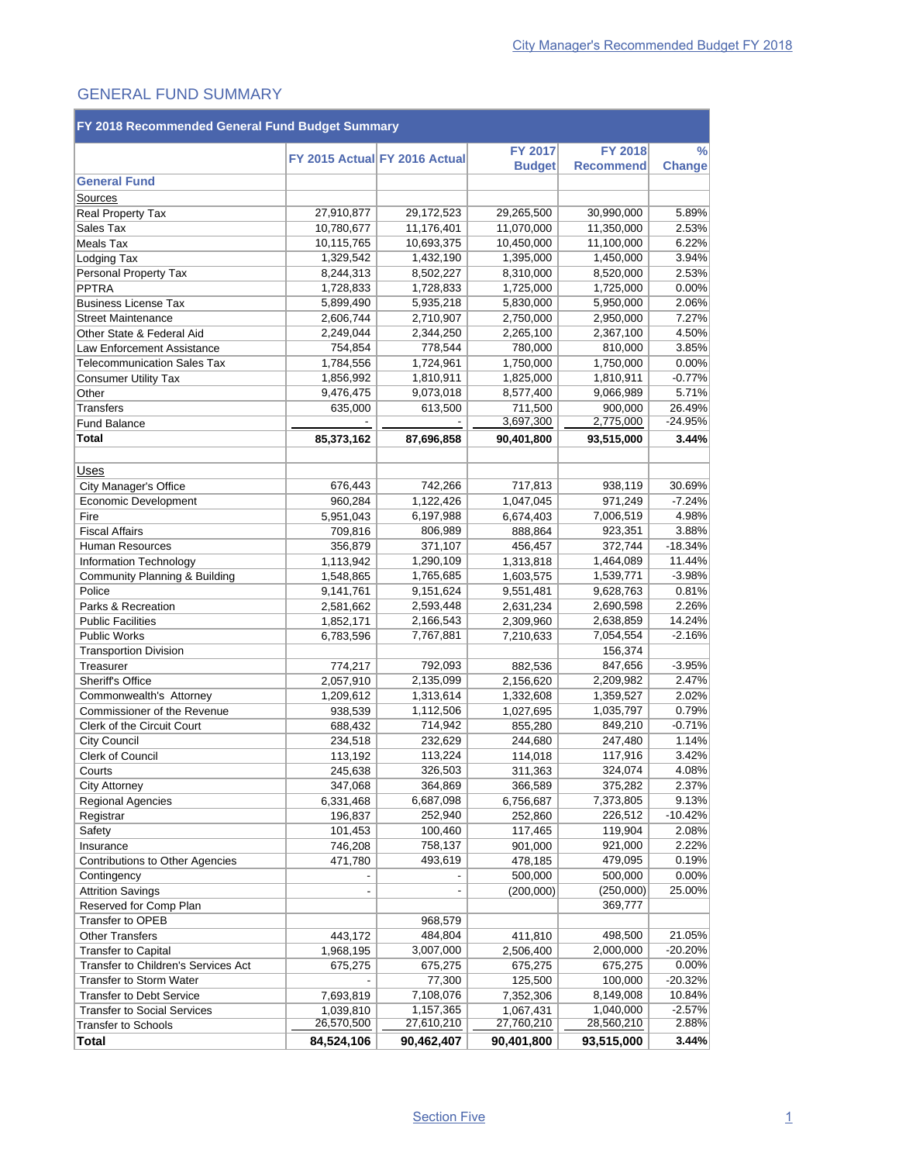#### GENERAL FUND SUMMARY

| FY 2018 Recommended General Fund Budget Summary                   |            |                               |                      |                    |                    |  |  |  |
|-------------------------------------------------------------------|------------|-------------------------------|----------------------|--------------------|--------------------|--|--|--|
|                                                                   |            |                               | <b>FY 2017</b>       | <b>FY 2018</b>     | $\frac{0}{0}$      |  |  |  |
|                                                                   |            | FY 2015 Actual FY 2016 Actual | <b>Budget</b>        | <b>Recommend</b>   | Change             |  |  |  |
| <b>General Fund</b>                                               |            |                               |                      |                    |                    |  |  |  |
| Sources                                                           |            |                               |                      |                    |                    |  |  |  |
| Real Property Tax                                                 | 27,910,877 | 29,172,523                    | 29,265,500           | 30,990,000         | 5.89%              |  |  |  |
| Sales Tax                                                         | 10,780,677 | 11,176,401                    | 11,070,000           | 11,350,000         | 2.53%              |  |  |  |
| Meals Tax                                                         | 10,115,765 | 10,693,375                    | 10,450,000           | 11,100,000         | 6.22%              |  |  |  |
| Lodging Tax                                                       | 1,329,542  | 1,432,190                     | 1,395,000            | 1,450,000          | 3.94%              |  |  |  |
| Personal Property Tax                                             | 8,244,313  | 8,502,227                     | 8,310,000            | 8,520,000          | 2.53%              |  |  |  |
| <b>PPTRA</b>                                                      | 1,728,833  | 1,728,833                     | 1,725,000            | 1,725,000          | 0.00%              |  |  |  |
| <b>Business License Tax</b>                                       | 5,899,490  | 5,935,218                     | 5,830,000            | 5,950,000          | 2.06%              |  |  |  |
| <b>Street Maintenance</b>                                         | 2,606,744  | 2,710,907                     | 2,750,000            | 2,950,000          | 7.27%              |  |  |  |
| Other State & Federal Aid                                         | 2,249,044  | 2,344,250                     | 2,265,100            | 2,367,100          | 4.50%              |  |  |  |
| Law Enforcement Assistance                                        | 754,854    | 778,544                       | 780,000              | 810,000            | 3.85%              |  |  |  |
| <b>Telecommunication Sales Tax</b>                                | 1,784,556  | 1,724,961                     | 1,750,000            | 1,750,000          | 0.00%              |  |  |  |
| <b>Consumer Utility Tax</b>                                       | 1,856,992  | 1,810,911                     | 1,825,000            | 1,810,911          | $-0.77%$           |  |  |  |
| Other                                                             | 9,476,475  | 9,073,018                     | 8,577,400            | 9,066,989          | 5.71%              |  |  |  |
| <b>Transfers</b>                                                  | 635,000    | 613,500                       | 711,500              | 900,000            | 26.49%             |  |  |  |
| <b>Fund Balance</b>                                               |            |                               | 3,697,300            | 2,775,000          | $-24.95%$          |  |  |  |
| Total                                                             | 85,373,162 | 87,696,858                    | 90.401.800           | 93,515,000         | 3.44%              |  |  |  |
|                                                                   |            |                               |                      |                    |                    |  |  |  |
| Uses                                                              |            |                               |                      |                    |                    |  |  |  |
| City Manager's Office                                             | 676,443    | 742,266                       | 717,813              | 938,119            | 30.69%             |  |  |  |
| Economic Development                                              | 960,284    | 1,122,426                     | 1,047,045            | 971,249            | $-7.24%$           |  |  |  |
| Fire                                                              | 5,951,043  | 6,197,988                     | 6,674,403            | 7,006,519          | 4.98%              |  |  |  |
| <b>Fiscal Affairs</b>                                             | 709,816    | 806,989                       | 888,864              | 923,351            | 3.88%              |  |  |  |
| Human Resources                                                   | 356,879    | 371,107                       | 456,457              | 372,744            | $-18.34%$          |  |  |  |
| Information Technology                                            | 1,113,942  | 1,290,109                     | 1,313,818            | 1,464,089          | 11.44%             |  |  |  |
| Community Planning & Building                                     | 1,548,865  | 1,765,685                     | 1,603,575            | 1,539,771          | $-3.98%$           |  |  |  |
| Police                                                            | 9,141,761  | 9,151,624                     | 9,551,481            | 9,628,763          | 0.81%              |  |  |  |
| Parks & Recreation                                                | 2,581,662  | 2,593,448                     | 2,631,234            | 2,690,598          | 2.26%              |  |  |  |
| <b>Public Facilities</b>                                          | 1,852,171  | 2,166,543                     | 2,309,960            | 2,638,859          | 14.24%             |  |  |  |
| <b>Public Works</b>                                               | 6,783,596  | 7,767,881                     | 7,210,633            | 7,054,554          | $-2.16%$           |  |  |  |
| <b>Transportion Division</b>                                      |            |                               |                      | 156,374            |                    |  |  |  |
| Treasurer                                                         | 774,217    | 792,093                       | 882,536              | 847,656            | $-3.95%$           |  |  |  |
| <b>Sheriff's Office</b>                                           | 2,057,910  | 2,135,099                     | 2,156,620            | 2,209,982          | 2.47%              |  |  |  |
| Commonwealth's Attorney                                           | 1,209,612  | 1,313,614                     | 1,332,608            | 1,359,527          | 2.02%              |  |  |  |
| Commissioner of the Revenue                                       | 938,539    | 1,112,506                     | 1,027,695            | 1,035,797          | 0.79%              |  |  |  |
| <b>Clerk of the Circuit Court</b>                                 | 688,432    | 714,942                       | 855,280              | 849,210            | $-0.71%$           |  |  |  |
| <b>City Council</b>                                               | 234,518    | 232,629                       | 244,680              | 247,480            | 1.14%              |  |  |  |
| <b>Clerk of Council</b>                                           | 113,192    | 113,224                       | 114,018              | 117,916            | 3.42%              |  |  |  |
| Courts                                                            | 245,638    | 326,503                       | 311,363              | 324,074            | 4.08%              |  |  |  |
| <b>City Attorney</b>                                              | 347,068    | 364,869                       | 366,589              | 375,282            | 2.37%              |  |  |  |
| <b>Regional Agencies</b>                                          | 6,331,468  | 6,687,098                     | 6,756,687            | 7,373,805          | 9.13%              |  |  |  |
| Registrar                                                         | 196,837    | 252,940                       | 252,860              | 226,512            | $-10.42%$          |  |  |  |
| Safety                                                            | 101,453    | 100,460                       | 117,465              | 119,904            | 2.08%              |  |  |  |
| Insurance                                                         | 746,208    | 758,137                       | 901,000              | 921,000            | 2.22%              |  |  |  |
| Contributions to Other Agencies                                   | 471,780    | 493,619                       | 478,185              | 479,095            | 0.19%              |  |  |  |
| Contingency                                                       |            |                               | 500,000              | 500,000            | 0.00%              |  |  |  |
| <b>Attrition Savings</b>                                          |            |                               | (200,000)            | (250,000)          | 25.00%             |  |  |  |
| Reserved for Comp Plan                                            |            | 968,579                       |                      | 369,777            |                    |  |  |  |
| <b>Transfer to OPEB</b>                                           |            |                               |                      |                    |                    |  |  |  |
| <b>Other Transfers</b>                                            | 443,172    | 484,804                       | 411,810              | 498,500            | 21.05%             |  |  |  |
| <b>Transfer to Capital</b>                                        | 1,968,195  | 3,007,000                     | 2,506,400            | 2,000,000          | $-20.20%$          |  |  |  |
| Transfer to Children's Services Act                               | 675,275    | 675,275<br>77,300             | 675,275              | 675,275<br>100,000 | 0.00%<br>$-20.32%$ |  |  |  |
| <b>Transfer to Storm Water</b><br><b>Transfer to Debt Service</b> | 7,693,819  | 7,108,076                     | 125,500<br>7,352,306 | 8,149,008          | 10.84%             |  |  |  |
| <b>Transfer to Social Services</b>                                | 1,039,810  | 1,157,365                     | 1,067,431            | 1,040,000          | $-2.57%$           |  |  |  |
| <b>Transfer to Schools</b>                                        | 26,570,500 | 27,610,210                    | 27,760,210           | 28,560,210         | 2.88%              |  |  |  |
| Total                                                             | 84,524,106 | 90,462,407                    | 90,401,800           | 93,515,000         | 3.44%              |  |  |  |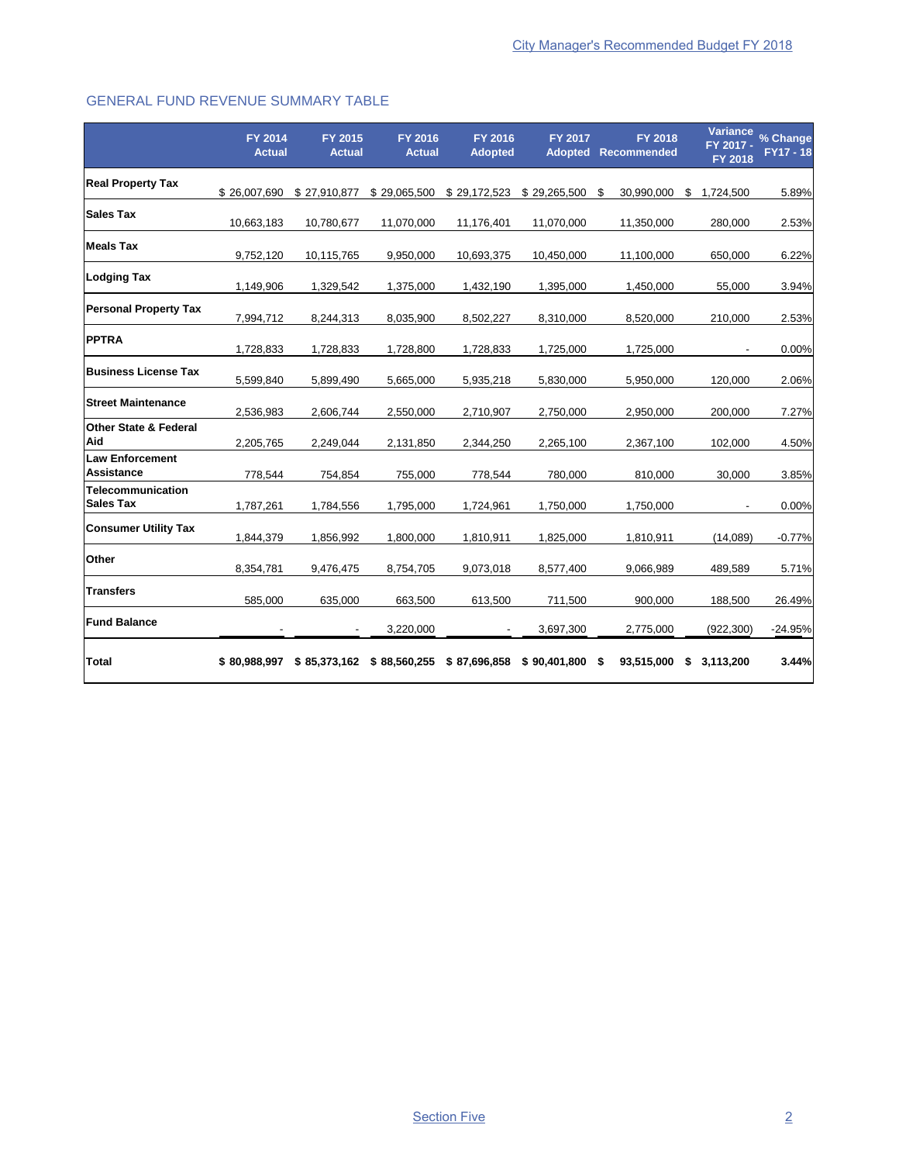### GENERAL FUND REVENUE SUMMARY TABLE

|                                             | <b>FY 2014</b><br><b>Actual</b> | FY 2015<br><b>Actual</b> | <b>FY 2016</b><br><b>Actual</b> | FY 2016<br><b>Adopted</b> | FY 2017          | <b>FY 2018</b><br><b>Adopted Recommended</b> | FY 2017 -<br><b>FY 2018</b> | Variance % Change<br><b>FY17 - 18</b> |
|---------------------------------------------|---------------------------------|--------------------------|---------------------------------|---------------------------|------------------|----------------------------------------------|-----------------------------|---------------------------------------|
| <b>Real Property Tax</b>                    | \$26,007,690                    | \$27,910,877             | \$29,065,500                    | \$29,172,523              | \$29,265,500     | S<br>30,990,000                              | S<br>1,724,500              | 5.89%                                 |
| Sales Tax                                   | 10,663,183                      | 10,780,677               | 11,070,000                      | 11,176,401                | 11,070,000       | 11,350,000                                   | 280,000                     | 2.53%                                 |
| <b>Meals Tax</b>                            | 9,752,120                       | 10,115,765               | 9,950,000                       | 10,693,375                | 10,450,000       | 11,100,000                                   | 650,000                     | 6.22%                                 |
| <b>Lodging Tax</b>                          | 1,149,906                       | 1,329,542                | 1,375,000                       | 1,432,190                 | 1,395,000        | 1,450,000                                    | 55,000                      | 3.94%                                 |
| <b>Personal Property Tax</b>                | 7,994,712                       | 8,244,313                | 8,035,900                       | 8,502,227                 | 8,310,000        | 8,520,000                                    | 210,000                     | 2.53%                                 |
| <b>PPTRA</b>                                | 1,728,833                       | 1,728,833                | 1,728,800                       | 1,728,833                 | 1,725,000        | 1,725,000                                    |                             | 0.00%                                 |
| <b>Business License Tax</b>                 | 5,599,840                       | 5,899,490                | 5,665,000                       | 5,935,218                 | 5,830,000        | 5,950,000                                    | 120.000                     | 2.06%                                 |
| <b>Street Maintenance</b>                   | 2,536,983                       | 2,606,744                | 2,550,000                       | 2,710,907                 | 2,750,000        | 2,950,000                                    | 200.000                     | 7.27%                                 |
| <b>Other State &amp; Federal</b><br>Aid     | 2,205,765                       | 2,249,044                | 2,131,850                       | 2,344,250                 | 2,265,100        | 2,367,100                                    | 102,000                     | 4.50%                                 |
| <b>Law Enforcement</b><br><b>Assistance</b> | 778,544                         | 754,854                  | 755,000                         | 778,544                   | 780,000          | 810,000                                      | 30,000                      | 3.85%                                 |
| Telecommunication<br><b>Sales Tax</b>       | 1,787,261                       | 1,784,556                | 1,795,000                       | 1,724,961                 | 1,750,000        | 1,750,000                                    |                             | 0.00%                                 |
| <b>Consumer Utility Tax</b>                 | 1,844,379                       | 1,856,992                | 1,800,000                       | 1,810,911                 | 1,825,000        | 1,810,911                                    | (14,089)                    | $-0.77%$                              |
| Other                                       | 8,354,781                       | 9,476,475                | 8,754,705                       | 9,073,018                 | 8,577,400        | 9,066,989                                    | 489,589                     | 5.71%                                 |
| <b>Transfers</b>                            | 585,000                         | 635,000                  | 663,500                         | 613,500                   | 711,500          | 900,000                                      | 188,500                     | 26.49%                                |
| <b>Fund Balance</b>                         |                                 |                          | 3,220,000                       |                           | 3,697,300        | 2,775,000                                    | (922, 300)                  | $-24.95%$                             |
| <b>Total</b>                                | \$80,988,997                    | \$85,373,162             | \$88,560,255                    | \$87,696,858              | $$90,401,800$ \$ | 93,515,000                                   | 3,113,200<br>\$             | 3.44%                                 |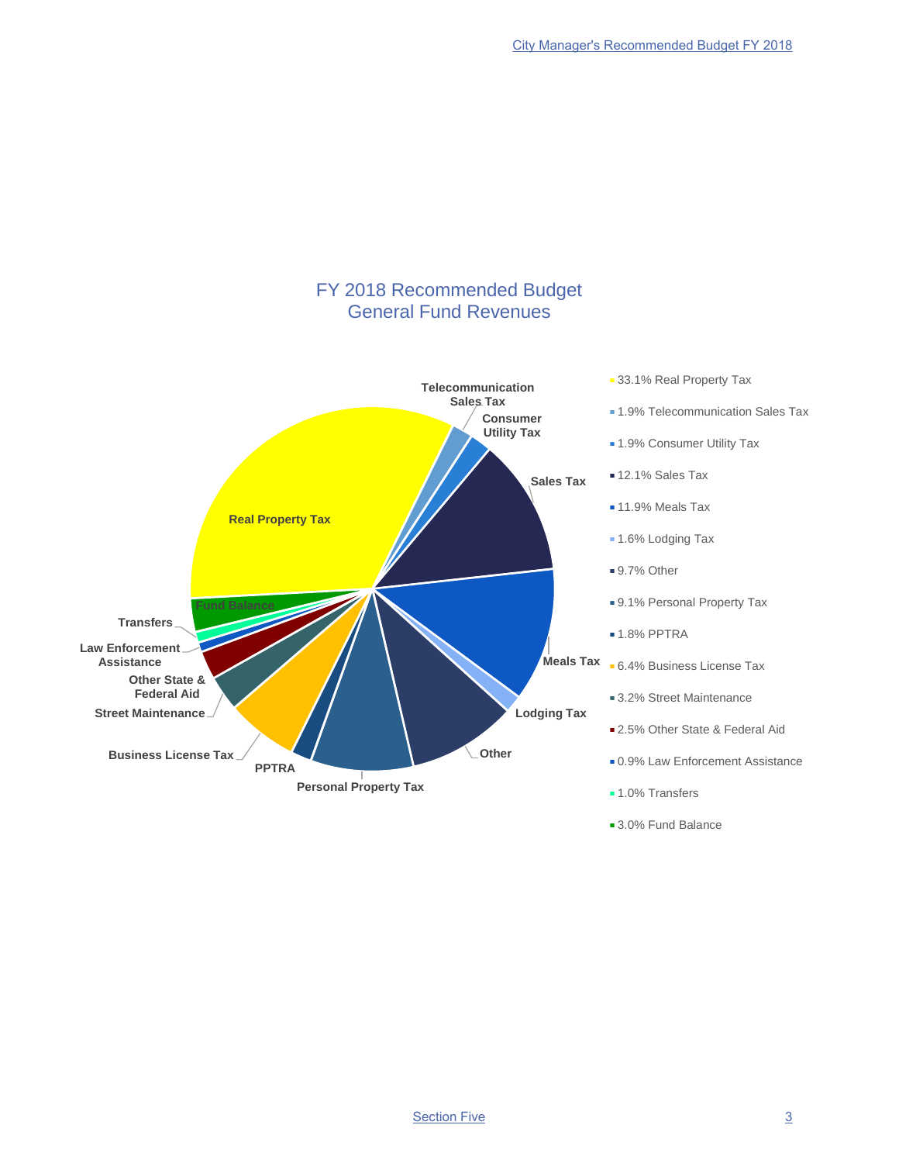

■ 3.0% Fund Balance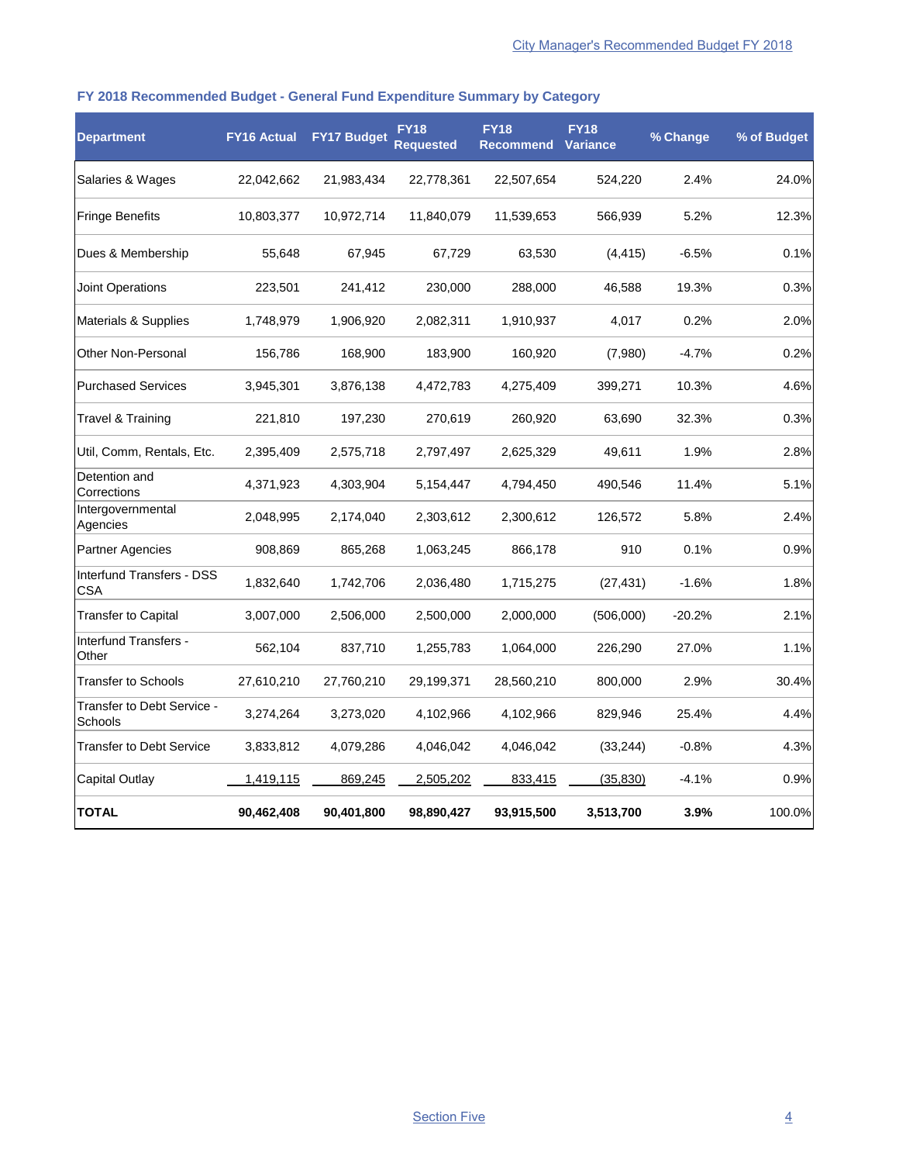## **FY 2018 Recommended Budget - General Fund Expenditure Summary by Category**

| <b>Department</b>                       | <b>FY16 Actual</b> | <b>FY17 Budget</b> | <b>FY18</b><br><b>Requested</b> | <b>FY18</b><br><b>Recommend</b> | <b>FY18</b><br>Variance | % Change | % of Budget |
|-----------------------------------------|--------------------|--------------------|---------------------------------|---------------------------------|-------------------------|----------|-------------|
| Salaries & Wages                        | 22,042,662         | 21,983,434         | 22,778,361                      | 22,507,654                      | 524,220                 | 2.4%     | 24.0%       |
| <b>Fringe Benefits</b>                  | 10,803,377         | 10,972,714         | 11,840,079                      | 11,539,653                      | 566,939                 | 5.2%     | 12.3%       |
| Dues & Membership                       | 55,648             | 67,945             | 67,729                          | 63,530                          | (4, 415)                | $-6.5%$  | 0.1%        |
| <b>Joint Operations</b>                 | 223,501            | 241,412            | 230,000                         | 288,000                         | 46,588                  | 19.3%    | 0.3%        |
| Materials & Supplies                    | 1,748,979          | 1,906,920          | 2,082,311                       | 1,910,937                       | 4,017                   | 0.2%     | 2.0%        |
| <b>Other Non-Personal</b>               | 156,786            | 168,900            | 183,900                         | 160,920                         | (7,980)                 | $-4.7%$  | 0.2%        |
| <b>Purchased Services</b>               | 3,945,301          | 3,876,138          | 4,472,783                       | 4,275,409                       | 399.271                 | 10.3%    | 4.6%        |
| Travel & Training                       | 221,810            | 197,230            | 270,619                         | 260,920                         | 63,690                  | 32.3%    | 0.3%        |
| Util, Comm, Rentals, Etc.               | 2,395,409          | 2,575,718          | 2,797,497                       | 2,625,329                       | 49,611                  | 1.9%     | 2.8%        |
| Detention and<br>Corrections            | 4,371,923          | 4,303,904          | 5,154,447                       | 4,794,450                       | 490,546                 | 11.4%    | 5.1%        |
| Intergovernmental<br>Agencies           | 2,048,995          | 2,174,040          | 2,303,612                       | 2,300,612                       | 126,572                 | 5.8%     | 2.4%        |
| <b>Partner Agencies</b>                 | 908,869            | 865,268            | 1,063,245                       | 866,178                         | 910                     | 0.1%     | 0.9%        |
| Interfund Transfers - DSS<br><b>CSA</b> | 1,832,640          | 1,742,706          | 2,036,480                       | 1,715,275                       | (27, 431)               | $-1.6%$  | 1.8%        |
| <b>Transfer to Capital</b>              | 3,007,000          | 2,506,000          | 2,500,000                       | 2,000,000                       | (506,000)               | $-20.2%$ | 2.1%        |
| Interfund Transfers -<br>Other          | 562,104            | 837,710            | 1,255,783                       | 1,064,000                       | 226,290                 | 27.0%    | 1.1%        |
| <b>Transfer to Schools</b>              | 27,610,210         | 27,760,210         | 29,199,371                      | 28,560,210                      | 800,000                 | 2.9%     | 30.4%       |
| Transfer to Debt Service -<br>Schools   | 3,274,264          | 3,273,020          | 4,102,966                       | 4,102,966                       | 829,946                 | 25.4%    | 4.4%        |
| <b>Transfer to Debt Service</b>         | 3,833,812          | 4,079,286          | 4,046,042                       | 4,046,042                       | (33, 244)               | $-0.8%$  | 4.3%        |
| <b>Capital Outlay</b>                   | 1,419,115          | 869,245            | 2,505,202                       | 833,415                         | (35, 830)               | $-4.1%$  | 0.9%        |
| <b>TOTAL</b>                            | 90,462,408         | 90,401,800         | 98,890,427                      | 93,915,500                      | 3,513,700               | 3.9%     | 100.0%      |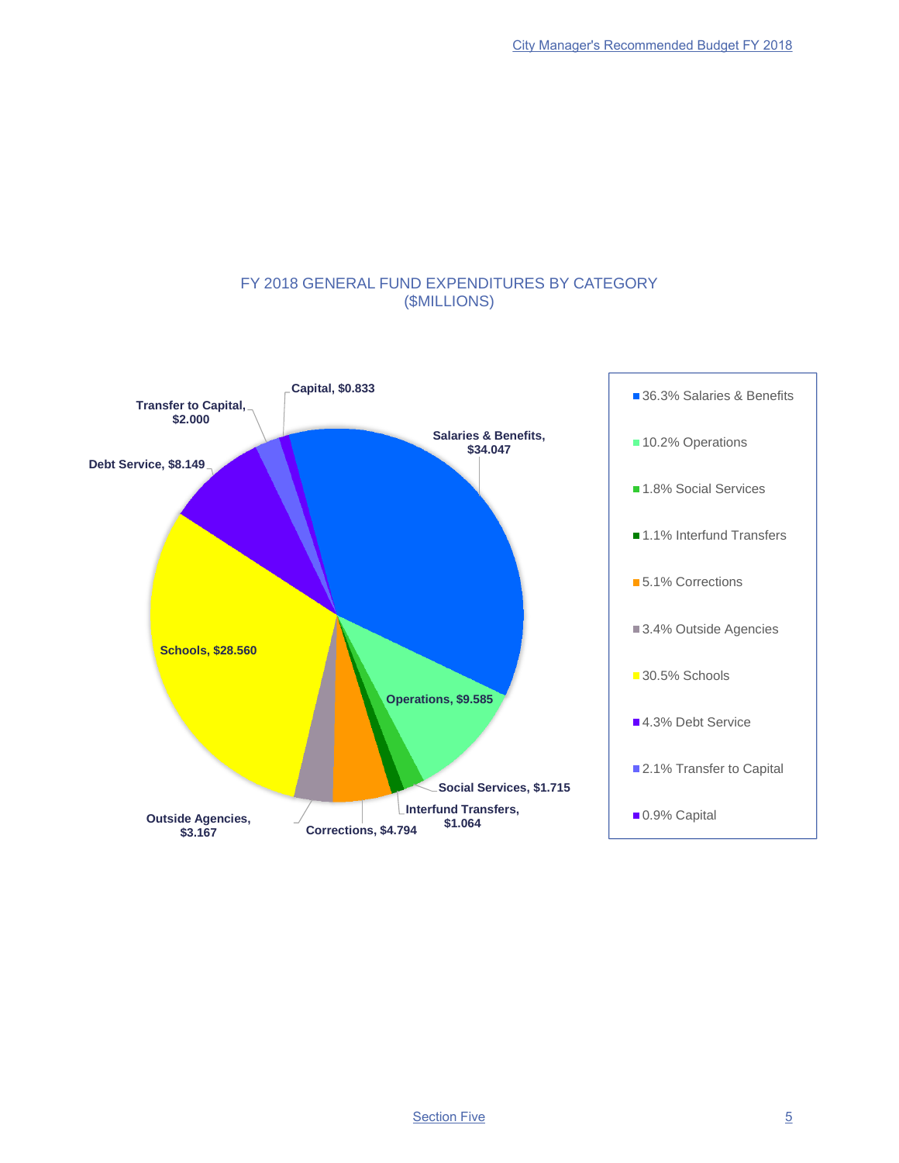## FY 2018 GENERAL FUND EXPENDITURES BY CATEGORY (\$MILLIONS)

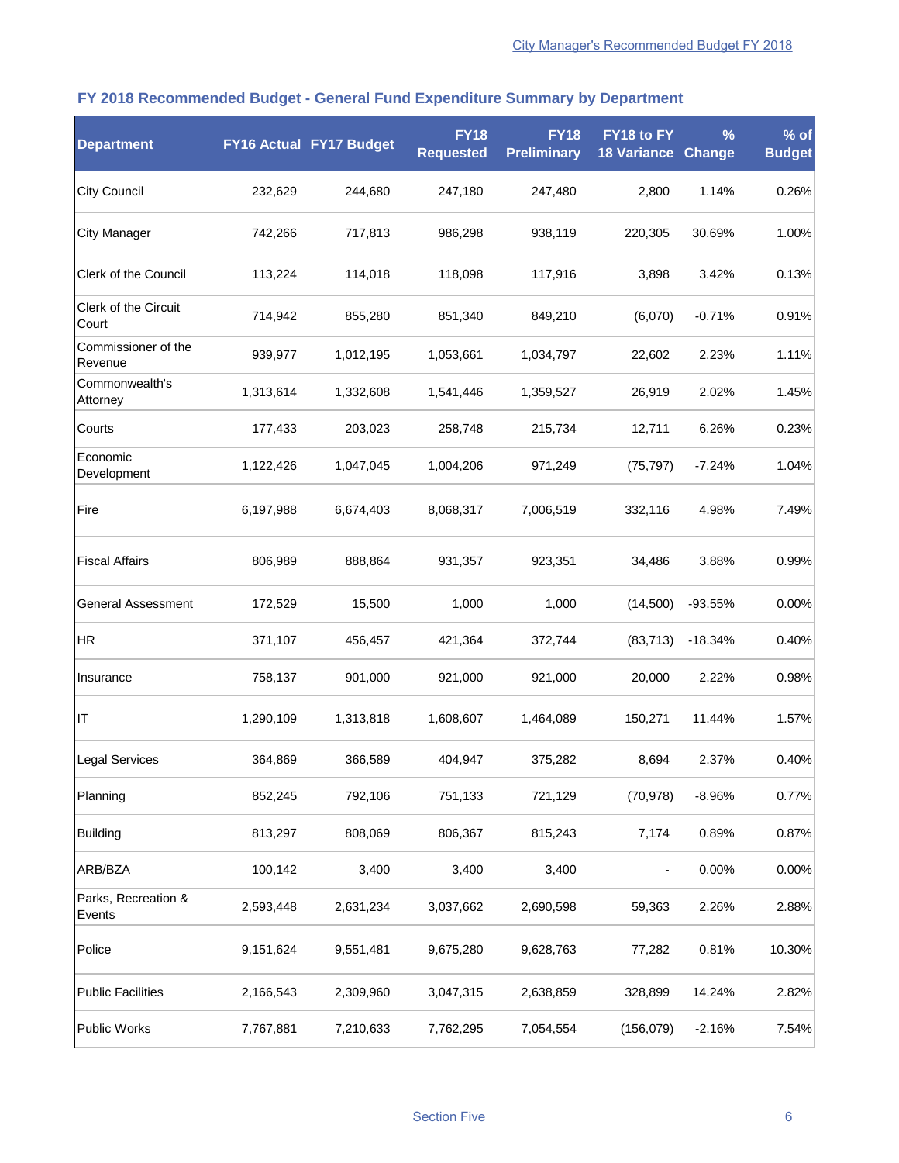| <b>Department</b>              |           | FY16 Actual FY17 Budget | <b>FY18</b><br><b>Requested</b> | <b>FY18</b><br><b>Preliminary</b> | FY18 to FY<br>18 Variance | $\frac{9}{6}$<br>Change | % of<br><b>Budget</b> |
|--------------------------------|-----------|-------------------------|---------------------------------|-----------------------------------|---------------------------|-------------------------|-----------------------|
| <b>City Council</b>            | 232,629   | 244,680                 | 247,180                         | 247,480                           | 2,800                     | 1.14%                   | 0.26%                 |
| <b>City Manager</b>            | 742,266   | 717,813                 | 986,298                         | 938,119                           | 220,305                   | 30.69%                  | 1.00%                 |
| <b>Clerk of the Council</b>    | 113,224   | 114,018                 | 118,098                         | 117,916                           | 3,898                     | 3.42%                   | 0.13%                 |
| Clerk of the Circuit<br>Court  | 714,942   | 855,280                 | 851,340                         | 849,210                           | (6,070)                   | $-0.71%$                | 0.91%                 |
| Commissioner of the<br>Revenue | 939,977   | 1,012,195               | 1,053,661                       | 1,034,797                         | 22,602                    | 2.23%                   | 1.11%                 |
| Commonwealth's<br>Attorney     | 1,313,614 | 1,332,608               | 1,541,446                       | 1,359,527                         | 26,919                    | 2.02%                   | 1.45%                 |
| Courts                         | 177,433   | 203,023                 | 258,748                         | 215,734                           | 12,711                    | 6.26%                   | 0.23%                 |
| Economic<br>Development        | 1,122,426 | 1,047,045               | 1,004,206                       | 971,249                           | (75, 797)                 | $-7.24%$                | 1.04%                 |
| Fire                           | 6,197,988 | 6,674,403               | 8,068,317                       | 7,006,519                         | 332,116                   | 4.98%                   | 7.49%                 |
| <b>Fiscal Affairs</b>          | 806,989   | 888,864                 | 931,357                         | 923,351                           | 34,486                    | 3.88%                   | 0.99%                 |
| <b>General Assessment</b>      | 172,529   | 15,500                  | 1,000                           | 1,000                             | (14,500)                  | $-93.55%$               | 0.00%                 |
| <b>HR</b>                      | 371,107   | 456,457                 | 421,364                         | 372,744                           | (83, 713)                 | $-18.34%$               | 0.40%                 |
| Insurance                      | 758,137   | 901,000                 | 921,000                         | 921,000                           | 20,000                    | 2.22%                   | 0.98%                 |
| IT                             | 1,290,109 | 1,313,818               | 1,608,607                       | 1,464,089                         | 150,271                   | 11.44%                  | 1.57%                 |
| <b>Legal Services</b>          | 364,869   | 366,589                 | 404,947                         | 375,282                           | 8,694                     | 2.37%                   | 0.40%                 |
| Planning                       | 852,245   | 792,106                 | 751,133                         | 721,129                           | (70, 978)                 | $-8.96%$                | 0.77%                 |
| <b>Building</b>                | 813,297   | 808,069                 | 806,367                         | 815,243                           | 7,174                     | 0.89%                   | 0.87%                 |
| ARB/BZA                        | 100,142   | 3,400                   | 3,400                           | 3,400                             |                           | 0.00%                   | 0.00%                 |
| Parks, Recreation &<br>Events  | 2,593,448 | 2,631,234               | 3,037,662                       | 2,690,598                         | 59,363                    | 2.26%                   | 2.88%                 |
| Police                         | 9,151,624 | 9,551,481               | 9,675,280                       | 9,628,763                         | 77,282                    | 0.81%                   | 10.30%                |
| <b>Public Facilities</b>       | 2,166,543 | 2,309,960               | 3,047,315                       | 2,638,859                         | 328,899                   | 14.24%                  | 2.82%                 |
| <b>Public Works</b>            | 7,767,881 | 7,210,633               | 7,762,295                       | 7,054,554                         | (156, 079)                | $-2.16%$                | 7.54%                 |

# **FY 2018 Recommended Budget - General Fund Expenditure Summary by Department**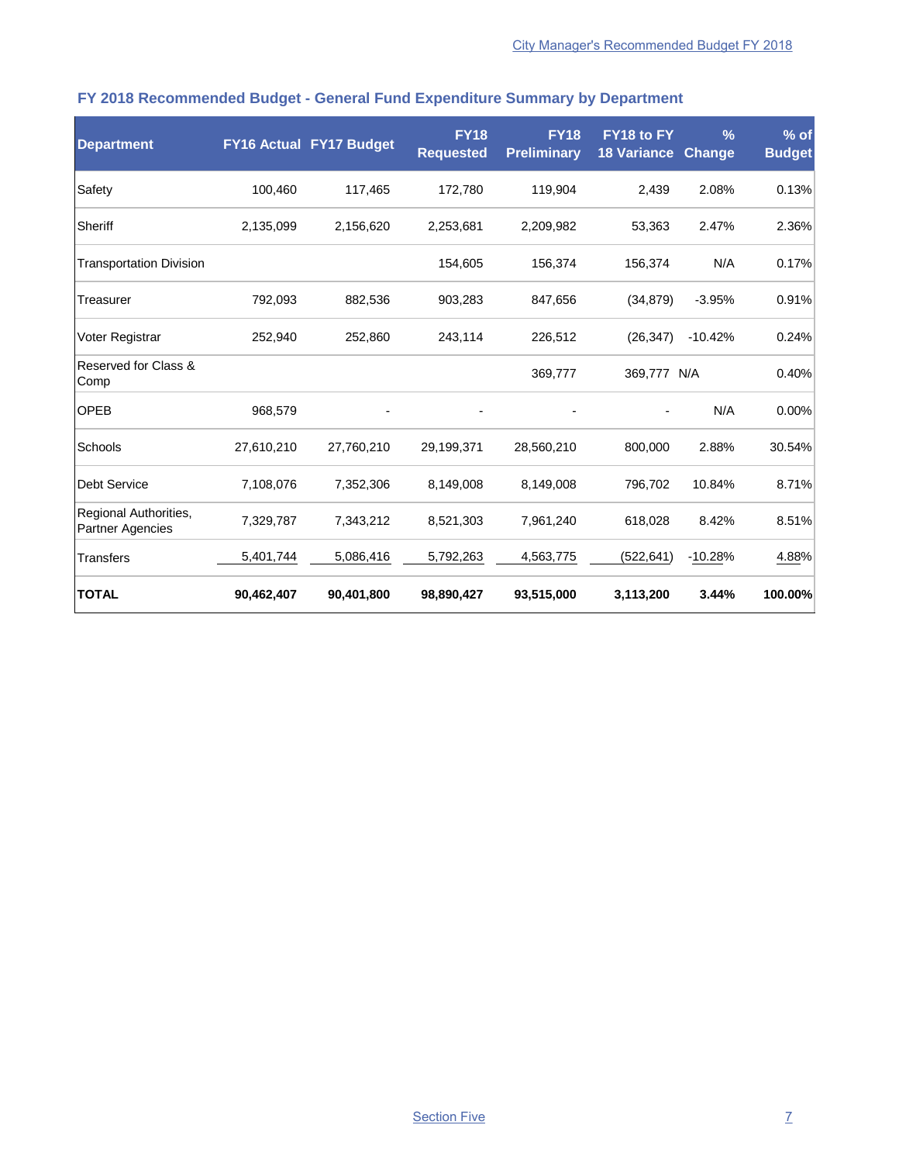| <b>Department</b>                                |            | <b>FY16 Actual FY17 Budget</b> | <b>FY18</b><br><b>Requested</b> | <b>FY18</b><br><b>Preliminary</b> | FY18 to FY<br><b>18 Variance</b> | $\frac{0}{6}$<br><b>Change</b> | % of<br><b>Budget</b> |
|--------------------------------------------------|------------|--------------------------------|---------------------------------|-----------------------------------|----------------------------------|--------------------------------|-----------------------|
| Safety                                           | 100,460    | 117,465                        | 172,780                         | 119,904                           | 2,439                            | 2.08%                          | 0.13%                 |
| Sheriff                                          | 2,135,099  | 2,156,620                      | 2,253,681                       | 2,209,982                         | 53,363                           | 2.47%                          | 2.36%                 |
| <b>Transportation Division</b>                   |            |                                | 154,605                         | 156,374                           | 156,374                          | N/A                            | 0.17%                 |
| Treasurer                                        | 792,093    | 882,536                        | 903,283                         | 847,656                           | (34, 879)                        | $-3.95%$                       | 0.91%                 |
| Voter Registrar                                  | 252,940    | 252,860                        | 243,114                         | 226,512                           | (26, 347)                        | $-10.42%$                      | 0.24%                 |
| Reserved for Class &<br>Comp                     |            |                                |                                 | 369,777                           | 369,777                          | N/A                            | 0.40%                 |
| <b>OPEB</b>                                      | 968,579    |                                |                                 |                                   |                                  | N/A                            | 0.00%                 |
| Schools                                          | 27,610,210 | 27,760,210                     | 29,199,371                      | 28,560,210                        | 800,000                          | 2.88%                          | 30.54%                |
| <b>Debt Service</b>                              | 7,108,076  | 7,352,306                      | 8,149,008                       | 8,149,008                         | 796,702                          | 10.84%                         | 8.71%                 |
| Regional Authorities,<br><b>Partner Agencies</b> | 7,329,787  | 7,343,212                      | 8,521,303                       | 7,961,240                         | 618,028                          | 8.42%                          | 8.51%                 |
| <b>Transfers</b>                                 | 5,401,744  | 5,086,416                      | 5,792,263                       | 4,563,775                         | (522,641)                        | $-10.28%$                      | 4.88%                 |
| <b>TOTAL</b>                                     | 90,462,407 | 90,401,800                     | 98,890,427                      | 93,515,000                        | 3,113,200                        | 3.44%                          | 100.00%               |

# **FY 2018 Recommended Budget - General Fund Expenditure Summary by Department**